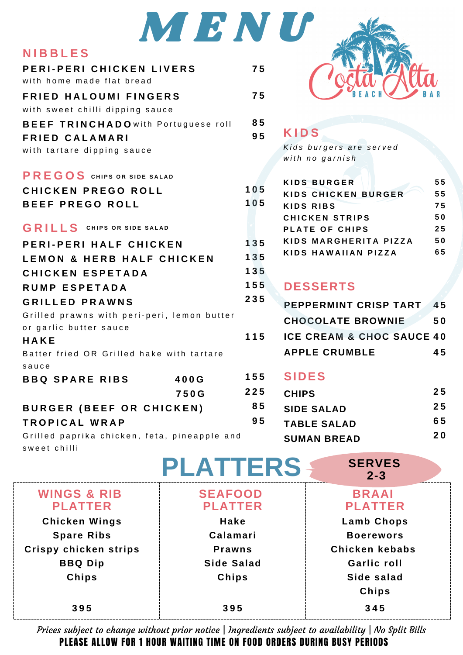|                                              | MENU            |     |                    |
|----------------------------------------------|-----------------|-----|--------------------|
| <b>NIBBLES</b>                               |                 |     |                    |
| PERI-PERI CHICKEN LIVERS                     |                 | 75  |                    |
| with home made flat bread                    |                 |     |                    |
| <b>FRIED HALOUMI FINGERS</b>                 |                 | 75  |                    |
| with sweet chilli dipping sauce              |                 |     |                    |
| <b>BEEF TRINCHADO</b> with Portuguese roll   |                 | 85  |                    |
| <b>FRIED CALAMARI</b>                        |                 | 95  | <b>KIDS</b>        |
| with tartare dipping sauce                   |                 |     | Kids bur           |
|                                              |                 |     | with no            |
| PREGOS CHIPS OR SIDE SALAD                   |                 |     | <b>KIDS BL</b>     |
| CHICKEN PREGO ROLL                           |                 | 105 | KIDS CH            |
| <b>BEEF PREGO ROLL</b>                       |                 | 105 | <b>KIDS RI</b>     |
|                                              |                 |     | CHICKE             |
| <b>GRILLS</b> CHIPS OR SIDE SALAD            |                 |     | PLATE <sup>(</sup> |
| PERI-PERI HALF CHICKEN                       |                 | 135 | KIDS M/<br>KIDS H/ |
| <b>LEMON &amp; HERB HALF CHICKEN</b>         |                 | 135 |                    |
| <b>CHICKEN ESPETADA</b>                      |                 | 135 |                    |
| <b>RUMP ESPETADA</b>                         |                 | 155 | <b>DESSI</b>       |
| <b>GRILLED PRAWNS</b>                        |                 | 235 | <b>PEPPER</b>      |
| Grilled prawns with peri-peri, lemon butter  |                 |     | <b>CHOCO</b>       |
| or garlic butter sauce                       |                 |     |                    |
| HAKE                                         |                 | 115 | <b>ICE CRI</b>     |
| Batter fried OR Grilled hake with tartare    |                 |     | <b>APPLE</b>       |
| sauce                                        |                 | 155 | <b>SIDES</b>       |
| <b>BBQ SPARE RIBS</b>                        | 400G            |     |                    |
|                                              | 750G            | 225 | <b>CHIPS</b>       |
| <b>BURGER (BEEF OR CHICKEN)</b>              |                 | 85  | SIDE SA            |
| <b>TROPICAL WRAP</b>                         |                 | 95  | <b>TABLE</b>       |
| Grilled paprika chicken, feta, pineapple and |                 |     | <b>SUMAN</b>       |
| sweet chilli                                 |                 |     |                    |
|                                              | <b>PLATTERS</b> |     |                    |
| <b>WINGS &amp; RIB</b>                       | <b>SEAFOOD</b>  |     |                    |
|                                              |                 |     |                    |



| . . |  |
|-----|--|
|     |  |
|     |  |

*<i>s burgers are served w i t h n o g a r n i s h*

|    | KIDS BURGER                | 55 |
|----|----------------------------|----|
| 5  | <b>KIDS CHICKEN BURGER</b> | 55 |
| 5  | KIDS RIBS                  | 75 |
|    | <b>CHICKEN STRIPS</b>      | 50 |
|    | PLATE OF CHIPS             | 25 |
| .5 | KIDS MARGHERITA PIZZA      | 50 |
| 5  | KIDS HAWAIIAN PIZZA        | 65 |
|    |                            |    |

## **SSERTS**

| PEPPERMINT CRISP TART                | 45 |
|--------------------------------------|----|
| <b>CHOCOLATE BROWNIE</b>             | 50 |
| <b>ICE CREAM &amp; CHOC SAUCE 40</b> |    |
| <b>APPLE CRUMBLE</b>                 | 45 |

## DES

| <b>CHIPS</b>       | 25        |
|--------------------|-----------|
| <b>SIDE SALAD</b>  | 25        |
| <b>TABLE SALAD</b> | 65        |
| <b>SUMAN BREAD</b> | <b>20</b> |

**SERVES**

|                                          |                                  | $2 - 3$                        |
|------------------------------------------|----------------------------------|--------------------------------|
| <b>WINGS &amp; RIB</b><br><b>PLATTER</b> | <b>SEAFOOD</b><br><b>PLATTER</b> | <b>BRAAI</b><br><b>PLATTER</b> |
| <b>Chicken Wings</b>                     | Hake                             | <b>Lamb Chops</b>              |
| <b>Spare Ribs</b>                        | Calamari                         | <b>Boerewors</b>               |
| Crispy chicken strips                    | <b>Prawns</b>                    | Chicken kebabs                 |
| <b>BBQ Dip</b>                           | Side Salad                       | <b>Garlic roll</b>             |
| Chips                                    | Chips                            | Side salad                     |
|                                          |                                  | Chips                          |
| 395                                      | 395                              | 345                            |

PLEASE ALLOW FOR 1 HOUR WAITING TIME ON FOOD ORDERS DURING BUSY PERIODS Prices subject to change without prior notice | Ingredients subject to availability | No Split Bills